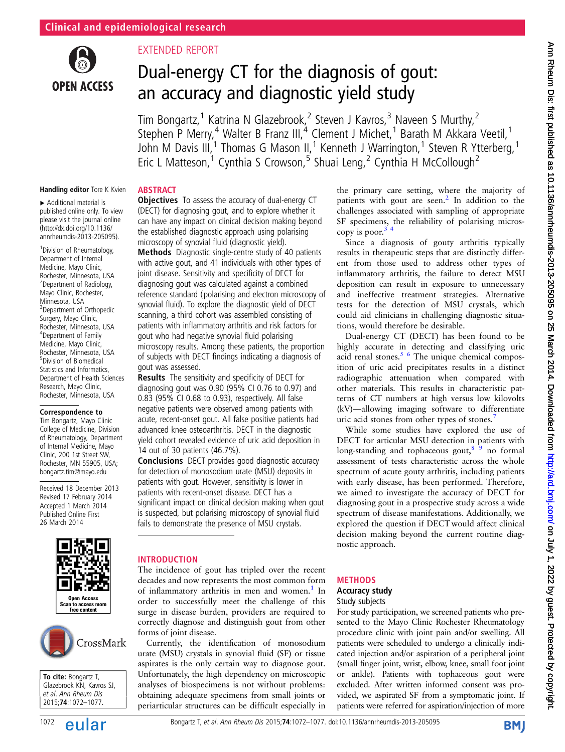

## EXTENDED REPORT

**ABSTRACT** 

# Dual-energy CT for the diagnosis of gout: an accuracy and diagnostic yield study

Tim Bongartz,<sup>1</sup> Katrina N Glazebrook,<sup>2</sup> Steven J Kavros,<sup>3</sup> Naveen S Murthy,<sup>2</sup> Stephen P Merry,<sup>4</sup> Walter B Franz III,<sup>4</sup> Clement J Michet,<sup>1</sup> Barath M Akkara Veetil,<sup>1</sup> John M Davis III,<sup>1</sup> Thomas G Mason II,<sup>1</sup> Kenneth J Warrington,<sup>1</sup> Steven R Ytterberg,<sup>1</sup> Eric L Matteson,<sup>1</sup> Cynthia S Crowson,<sup>5</sup> Shuai Leng,<sup>2</sup> Cynthia H McCollough<sup>2</sup>

#### Handling editor Tore K Kvien

▸ Additional material is published online only. To view please visit the journal online [\(http://dx.doi.org/10.1136/](http://dx.doi.org/10.1136/annrheumdis-2013-205095) [annrheumdis-2013-205095\)](http://dx.doi.org/10.1136/annrheumdis-2013-205095).

<sup>1</sup> Division of Rheumatology, Department of Internal Medicine, Mayo Clinic, Rochester, Minnesota, USA 2 Department of Radiology, Mayo Clinic, Rochester, Minnesota, USA <sup>3</sup> Department of Orthopedic Surgery, Mayo Clinic, Rochester, Minnesota, USA 4 Department of Family Medicine, Mayo Clinic, Rochester, Minnesota, USA 5 Division of Biomedical Statistics and Informatics, Department of Health Sciences Research, Mayo Clinic, Rochester, Minnesota, USA

#### Correspondence to

Tim Bongartz, Mayo Clinic College of Medicine, Division of Rheumatology, Department of Internal Medicine, Mayo Clinic, 200 1st Street SW, Rochester, MN 55905, USA; bongartz.tim@mayo.edu

Received 18 December 2013 Revised 17 February 2014 Accepted 1 March 2014 Published Online First 26 March 2014





To cite: Bongartz T, Glazebrook KN, Kavros SJ, et al. Ann Rheum Dis 2015;74:1072–1077.

## **Objectives** To assess the accuracy of dual-energy CT (DECT) for diagnosing gout, and to explore whether it can have any impact on clinical decision making beyond the established diagnostic approach using polarising microscopy of synovial fluid (diagnostic yield).

Methods Diagnostic single-centre study of 40 patients with active gout, and 41 individuals with other types of joint disease. Sensitivity and specificity of DECT for diagnosing gout was calculated against a combined reference standard (polarising and electron microscopy of synovial fluid). To explore the diagnostic yield of DECT scanning, a third cohort was assembled consisting of patients with inflammatory arthritis and risk factors for gout who had negative synovial fluid polarising microscopy results. Among these patients, the proportion of subjects with DECT findings indicating a diagnosis of gout was assessed.

Results The sensitivity and specificity of DECT for diagnosing gout was 0.90 (95% CI 0.76 to 0.97) and 0.83 (95% CI 0.68 to 0.93), respectively. All false negative patients were observed among patients with acute, recent-onset gout. All false positive patients had advanced knee osteoarthritis. DECT in the diagnostic yield cohort revealed evidence of uric acid deposition in 14 out of 30 patients (46.7%).

**Conclusions** DECT provides good diagnostic accuracy for detection of monosodium urate (MSU) deposits in patients with gout. However, sensitivity is lower in patients with recent-onset disease. DECT has a significant impact on clinical decision making when gout is suspected, but polarising microscopy of synovial fluid fails to demonstrate the presence of MSU crystals.

## INTRODUCTION

The incidence of gout has tripled over the recent decades and now represents the most common form of inflammatory arthritis in men and women.<sup>1</sup> In order to successfully meet the challenge of this surge in disease burden, providers are required to correctly diagnose and distinguish gout from other forms of joint disease.

Currently, the identification of monosodium urate (MSU) crystals in synovial fluid (SF) or tissue aspirates is the only certain way to diagnose gout. Unfortunately, the high dependency on microscopic analyses of biospecimens is not without problems: obtaining adequate specimens from small joints or periarticular structures can be difficult especially in the primary care setting, where the majority of patients with gout are seen.<sup>[2](#page-5-0)</sup> In addition to the challenges associated with sampling of appropriate SF specimens, the reliability of polarising microscopy is poor. $3$ 

Since a diagnosis of gouty arthritis typically results in therapeutic steps that are distinctly different from those used to address other types of inflammatory arthritis, the failure to detect MSU deposition can result in exposure to unnecessary and ineffective treatment strategies. Alternative tests for the detection of MSU crystals, which could aid clinicians in challenging diagnostic situations, would therefore be desirable.

Dual-energy CT (DECT) has been found to be highly accurate in detecting and classifying uric acid renal stones. $5/6$  The unique chemical composition of uric acid precipitates results in a distinct radiographic attenuation when compared with other materials. This results in characteristic patterns of CT numbers at high versus low kilovolts (kV)—allowing imaging software to differentiate uric acid stones from other types of stones.<sup>[7](#page-5-0)</sup>

While some studies have explored the use of DECT for articular MSU detection in patients with long-standing and tophaceous gout, $8^{9}$  no formal assessment of tests characteristic across the whole spectrum of acute gouty arthritis, including patients with early disease, has been performed. Therefore, we aimed to investigate the accuracy of DECT for diagnosing gout in a prospective study across a wide spectrum of disease manifestations. Additionally, we explored the question if DECT would affect clinical decision making beyond the current routine diagnostic approach.

## METHODS

## Accuracy study

## Study subjects

For study participation, we screened patients who presented to the Mayo Clinic Rochester Rheumatology procedure clinic with joint pain and/or swelling. All patients were scheduled to undergo a clinically indicated injection and/or aspiration of a peripheral joint (small finger joint, wrist, elbow, knee, small foot joint or ankle). Patients with tophaceous gout were excluded. After written informed consent was provided, we aspirated SF from a symptomatic joint. If patients were referred for aspiration/injection of more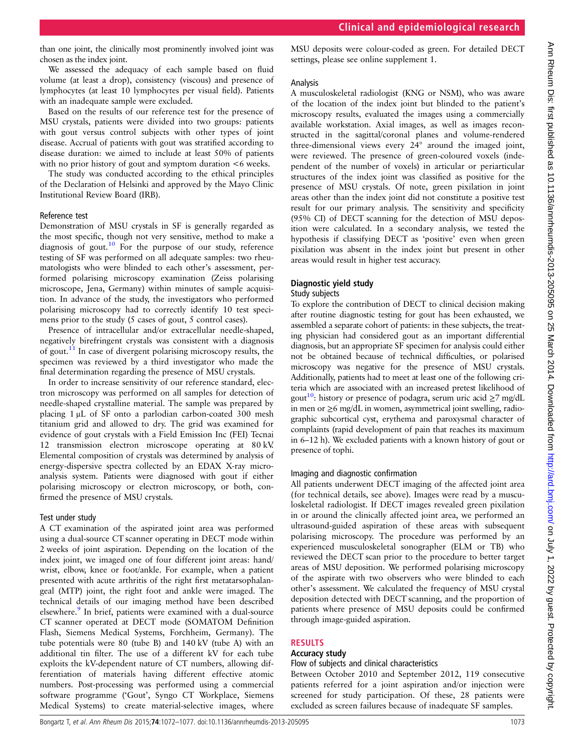than one joint, the clinically most prominently involved joint was chosen as the index joint.

We assessed the adequacy of each sample based on fluid volume (at least a drop), consistency (viscous) and presence of lymphocytes (at least 10 lymphocytes per visual field). Patients with an inadequate sample were excluded.

Based on the results of our reference test for the presence of MSU crystals, patients were divided into two groups: patients with gout versus control subjects with other types of joint disease. Accrual of patients with gout was stratified according to disease duration: we aimed to include at least 50% of patients with no prior history of gout and symptom duration  $<6$  weeks.

The study was conducted according to the ethical principles of the Declaration of Helsinki and approved by the Mayo Clinic Institutional Review Board (IRB).

#### Reference test

Demonstration of MSU crystals in SF is generally regarded as the most specific, though not very sensitive, method to make a diagnosis of gout.<sup>[10](#page-5-0)</sup> For the purpose of our study, reference testing of SF was performed on all adequate samples: two rheumatologists who were blinded to each other's assessment, performed polarising microscopy examination (Zeiss polarising microscope, Jena, Germany) within minutes of sample acquisition. In advance of the study, the investigators who performed polarising microscopy had to correctly identify 10 test specimens prior to the study (5 cases of gout, 5 control cases).

Presence of intracellular and/or extracellular needle-shaped, negatively birefringent crystals was consistent with a diagnosis of gout.[11](#page-5-0) In case of divergent polarising microscopy results, the specimen was reviewed by a third investigator who made the final determination regarding the presence of MSU crystals.

In order to increase sensitivity of our reference standard, electron microscopy was performed on all samples for detection of needle-shaped crystalline material. The sample was prepared by placing 1 μL of SF onto a parlodian carbon-coated 300 mesh titanium grid and allowed to dry. The grid was examined for evidence of gout crystals with a Field Emission Inc (FEI) Tecnai 12 transmission electron microscope operating at 80 kV. Elemental composition of crystals was determined by analysis of energy-dispersive spectra collected by an EDAX X-ray microanalysis system. Patients were diagnosed with gout if either polarising microscopy or electron microscopy, or both, confirmed the presence of MSU crystals.

## Test under study

A CT examination of the aspirated joint area was performed using a dual-source CT scanner operating in DECT mode within 2 weeks of joint aspiration. Depending on the location of the index joint, we imaged one of four different joint areas: hand/ wrist, elbow, knee or foot/ankle. For example, when a patient presented with acute arthritis of the right first metatarsophalangeal (MTP) joint, the right foot and ankle were imaged. The technical details of our imaging method have been described elsewhere.<sup>9</sup> In brief, patients were examined with a dual-source CT scanner operated at DECT mode (SOMATOM Definition Flash, Siemens Medical Systems, Forchheim, Germany). The tube potentials were 80 (tube B) and 140 kV (tube A) with an additional tin filter. The use of a different kV for each tube exploits the kV-dependent nature of CT numbers, allowing differentiation of materials having different effective atomic numbers. Post-processing was performed using a commercial software programme ('Gout', Syngo CT Workplace, Siemens Medical Systems) to create material-selective images, where

MSU deposits were colour-coded as green. For detailed DECT settings, please see online supplement 1.

## Analysis

A musculoskeletal radiologist (KNG or NSM), who was aware of the location of the index joint but blinded to the patient's microscopy results, evaluated the images using a commercially available workstation. Axial images, as well as images reconstructed in the sagittal/coronal planes and volume-rendered three-dimensional views every 24° around the imaged joint, were reviewed. The presence of green-coloured voxels (independent of the number of voxels) in articular or periarticular structures of the index joint was classified as positive for the presence of MSU crystals. Of note, green pixilation in joint areas other than the index joint did not constitute a positive test result for our primary analysis. The sensitivity and specificity (95% CI) of DECT scanning for the detection of MSU deposition were calculated. In a secondary analysis, we tested the hypothesis if classifying DECT as 'positive' even when green pixilation was absent in the index joint but present in other areas would result in higher test accuracy.

## Diagnostic yield study

## Study subjects

To explore the contribution of DECT to clinical decision making after routine diagnostic testing for gout has been exhausted, we assembled a separate cohort of patients: in these subjects, the treating physician had considered gout as an important differential diagnosis, but an appropriate SF specimen for analysis could either not be obtained because of technical difficulties, or polarised microscopy was negative for the presence of MSU crystals. Additionally, patients had to meet at least one of the following criteria which are associated with an increased pretest likelihood of gout<sup>10</sup>: history or presence of podagra, serum uric acid  $\geq 7$  mg/dL in men or ≥6 mg/dL in women, asymmetrical joint swelling, radiographic subcortical cyst, erythema and paroxysmal character of complaints (rapid development of pain that reaches its maximum in 6–12 h). We excluded patients with a known history of gout or presence of tophi.

## Imaging and diagnostic confirmation

All patients underwent DECT imaging of the affected joint area (for technical details, see above). Images were read by a musculoskeletal radiologist. If DECT images revealed green pixilation in or around the clinically affected joint area, we performed an ultrasound-guided aspiration of these areas with subsequent polarising microscopy. The procedure was performed by an experienced musculoskeletal sonographer (ELM or TB) who reviewed the DECT scan prior to the procedure to better target areas of MSU deposition. We performed polarising microscopy of the aspirate with two observers who were blinded to each other's assessment. We calculated the frequency of MSU crystal deposition detected with DECT scanning, and the proportion of patients where presence of MSU deposits could be confirmed through image-guided aspiration.

## RESULTS

## Accuracy study

## Flow of subjects and clinical characteristics

Between October 2010 and September 2012, 119 consecutive patients referred for a joint aspiration and/or injection were screened for study participation. Of these, 28 patients were excluded as screen failures because of inadequate SF samples.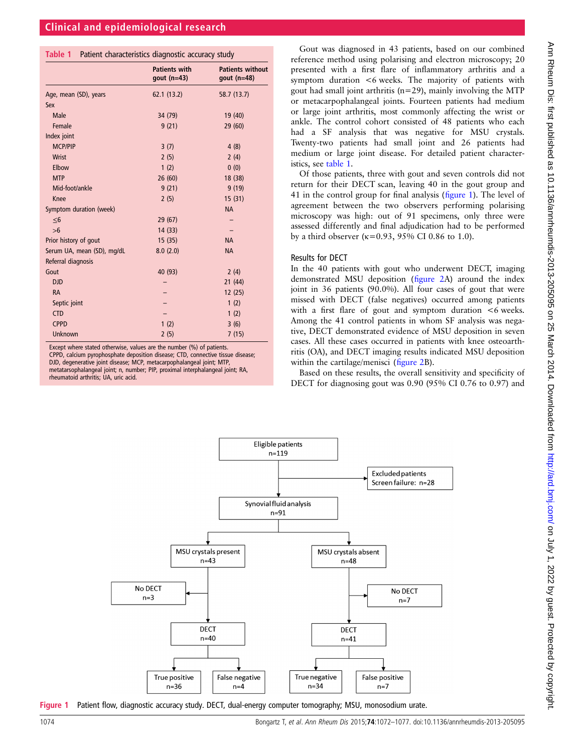#### Table 1 Patient characteristics diagnostic accuracy study

|                            | <b>Patients with</b><br>gout $(n=43)$ | <b>Patients without</b><br>gout $(n=48)$ |
|----------------------------|---------------------------------------|------------------------------------------|
| Age, mean (SD), years      | 62.1(13.2)                            | 58.7 (13.7)                              |
| Sex                        |                                       |                                          |
| <b>Male</b>                | 34 (79)                               | 19 (40)                                  |
| Female                     | 9(21)                                 | 29(60)                                   |
| Index joint                |                                       |                                          |
| <b>MCP/PIP</b>             | 3(7)                                  | 4(8)                                     |
| Wrist                      | 2(5)                                  | 2(4)                                     |
| Elbow                      | 1(2)                                  | 0(0)                                     |
| <b>MTP</b>                 | 26(60)                                | 18 (38)                                  |
| Mid-foot/ankle             | 9(21)                                 | 9(19)                                    |
| Knee                       | 2(5)                                  | 15(31)                                   |
| Symptom duration (week)    |                                       | <b>NA</b>                                |
| $\leq 6$                   | 29 (67)                               |                                          |
| >6                         | 14(33)                                |                                          |
| Prior history of gout      | 15(35)                                | <b>NA</b>                                |
| Serum UA, mean (SD), mg/dL | 8.0(2.0)                              | <b>NA</b>                                |
| Referral diagnosis         |                                       |                                          |
| Gout                       | 40 (93)                               | 2(4)                                     |
| <b>DJD</b>                 |                                       | 21(44)                                   |
| <b>RA</b>                  |                                       | 12(25)                                   |
| Septic joint               |                                       | 1(2)                                     |
| <b>CTD</b>                 |                                       | 1(2)                                     |
| <b>CPPD</b>                | 1(2)                                  | 3(6)                                     |
| <b>Unknown</b>             | 2(5)                                  | 7(15)                                    |

Except where stated otherwise, values are the number (%) of patients.

CPPD, calcium pyrophosphate deposition disease; CTD, connective tissue disease; DJD, degenerative joint disease; MCP, metacarpophalangeal joint; MTP, metatarsophalangeal joint; n, number; PIP, proximal interphalangeal joint; RA, rheumatoid arthritis; UA, uric acid.

Gout was diagnosed in 43 patients, based on our combined reference method using polarising and electron microscopy; 20 presented with a first flare of inflammatory arthritis and a symptom duration <6 weeks. The majority of patients with gout had small joint arthritis (n=29), mainly involving the MTP or metacarpophalangeal joints. Fourteen patients had medium or large joint arthritis, most commonly affecting the wrist or ankle. The control cohort consisted of 48 patients who each had a SF analysis that was negative for MSU crystals. Twenty-two patients had small joint and 26 patients had medium or large joint disease. For detailed patient characteristics, see table 1.

Of those patients, three with gout and seven controls did not return for their DECT scan, leaving 40 in the gout group and 41 in the control group for final analysis (figure 1). The level of agreement between the two observers performing polarising microscopy was high: out of 91 specimens, only three were assessed differently and final adjudication had to be performed by a third observer ( $\kappa$ =0.93, 95% CI 0.86 to 1.0).

#### Results for DECT

In the 40 patients with gout who underwent DECT, imaging demonstrated MSU deposition (fi[gure 2A](#page-3-0)) around the index joint in 36 patients (90.0%). All four cases of gout that were missed with DECT (false negatives) occurred among patients with a first flare of gout and symptom duration <6 weeks. Among the 41 control patients in whom SF analysis was negative, DECT demonstrated evidence of MSU deposition in seven cases. All these cases occurred in patients with knee osteoarthritis (OA), and DECT imaging results indicated MSU deposition within the cartilage/menisci (fi[gure 2](#page-3-0)B).

Based on these results, the overall sensitivity and specificity of DECT for diagnosing gout was 0.90 (95% CI 0.76 to 0.97) and



Figure 1 Patient flow, diagnostic accuracy study. DECT, dual-energy computer tomography; MSU, monosodium urate.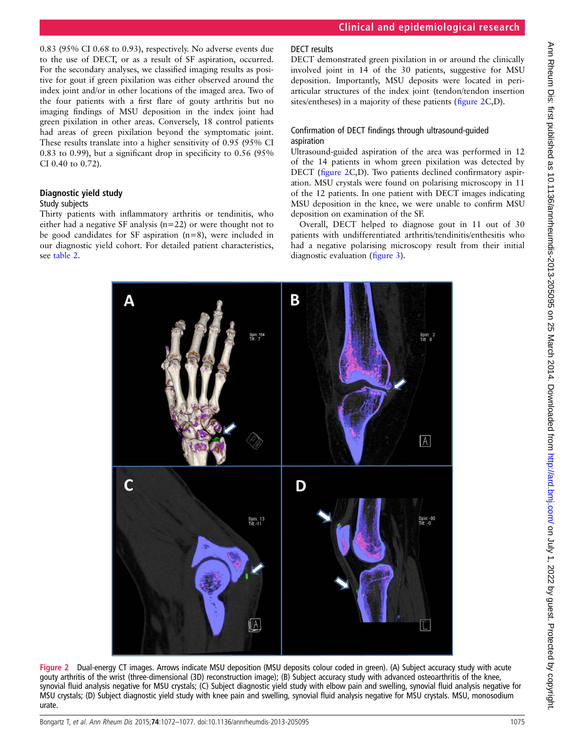<span id="page-3-0"></span>0.83 (95% CI 0.68 to 0.93), respectively. No adverse events due to the use of DECT, or as a result of SF aspiration, occurred. For the secondary analyses, we classified imaging results as positive for gout if green pixilation was either observed around the index joint and/or in other locations of the imaged area. Two of the four patients with a first flare of gouty arthritis but no imaging findings of MSU deposition in the index joint had green pixilation in other areas. Conversely, 18 control patients had areas of green pixilation beyond the symptomatic joint. These results translate into a higher sensitivity of 0.95 (95% CI 0.83 to 0.99), but a significant drop in specificity to 0.56 (95% CI 0.40 to 0.72).

## Diagnostic yield study

#### Study subjects

Thirty patients with inflammatory arthritis or tendinitis, who either had a negative SF analysis (n=22) or were thought not to be good candidates for SF aspiration (n=8), were included in our diagnostic yield cohort. For detailed patient characteristics, see [table 2](#page-4-0).

## DECT results

DECT demonstrated green pixilation in or around the clinically involved joint in 14 of the 30 patients, suggestive for MSU deposition. Importantly, MSU deposits were located in periarticular structures of the index joint (tendon/tendon insertion sites/entheses) in a majority of these patients (figure 2C,D).

## Confirmation of DECT findings through ultrasound-guided aspiration

Ultrasound-guided aspiration of the area was performed in 12 of the 14 patients in whom green pixilation was detected by DECT (figure 2C,D). Two patients declined confirmatory aspiration. MSU crystals were found on polarising microscopy in 11 of the 12 patients. In one patient with DECT images indicating MSU deposition in the knee, we were unable to confirm MSU deposition on examination of the SF.

Overall, DECT helped to diagnose gout in 11 out of 30 patients with undifferentiated arthritis/tendinitis/enthesitis who had a negative polarising microscopy result from their initial diagnostic evaluation (fi[gure 3](#page-4-0)).



Figure 2 Dual-energy CT images. Arrows indicate MSU deposition (MSU deposits colour coded in green). (A) Subject accuracy study with acute gouty arthritis of the wrist (three-dimensional (3D) reconstruction image); (B) Subject accuracy study with advanced osteoarthritis of the knee, synovial fluid analysis negative for MSU crystals; (C) Subject diagnostic yield study with elbow pain and swelling, synovial fluid analysis negative for MSU crystals; (D) Subject diagnostic yield study with knee pain and swelling, synovial fluid analysis negative for MSU crystals. MSU, monosodium urate.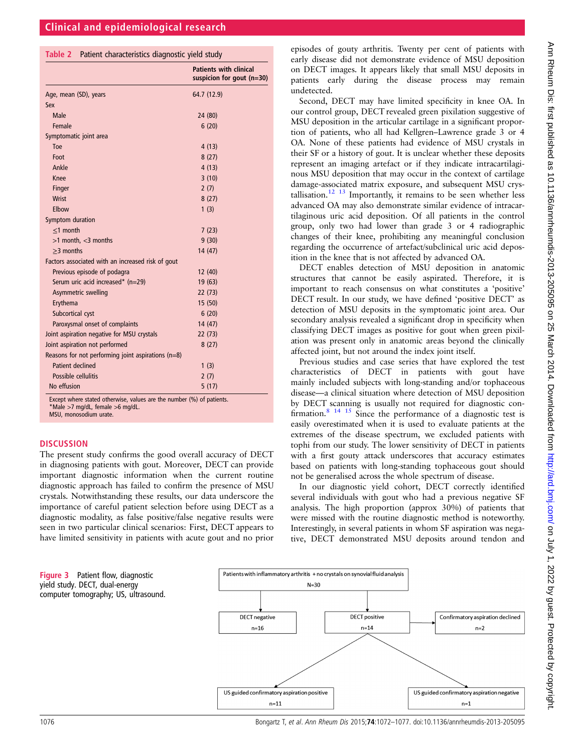<span id="page-4-0"></span>

|  |  | Table 2 Patient characteristics diagnostic yield study |  |  |  |
|--|--|--------------------------------------------------------|--|--|--|
|--|--|--------------------------------------------------------|--|--|--|

|                                                      | <b>Patients with clinical</b><br>suspicion for gout $(n=30)$ |
|------------------------------------------------------|--------------------------------------------------------------|
| Age, mean (SD), years                                | 64.7 (12.9)                                                  |
| Sex                                                  |                                                              |
| Male                                                 | 24 (80)                                                      |
| Female                                               | 6(20)                                                        |
| Symptomatic joint area                               |                                                              |
| Toe                                                  | 4(13)                                                        |
| Foot                                                 | 8(27)                                                        |
| Ankle                                                | 4(13)                                                        |
| Knee                                                 | 3(10)                                                        |
| Finger                                               | 2(7)                                                         |
| <b>Wrist</b>                                         | 8(27)                                                        |
| Elbow                                                | 1(3)                                                         |
| Symptom duration                                     |                                                              |
| $<$ 1 month                                          | 7(23)                                                        |
| $>1$ month, $<$ 3 months                             | 9(30)                                                        |
| $>3$ months                                          | 14 (47)                                                      |
| Factors associated with an increased risk of gout    |                                                              |
| Previous episode of podagra                          | 12 (40)                                                      |
| Serum uric acid increased* (n=29)                    | 19(63)                                                       |
| Asymmetric swelling                                  | 22 (73)                                                      |
| Erythema                                             | 15(50)                                                       |
| Subcortical cyst                                     | 6(20)                                                        |
| Paroxysmal onset of complaints                       | 14 (47)                                                      |
| Joint aspiration negative for MSU crystals           | 22 (73)                                                      |
| Joint aspiration not performed                       | 8(27)                                                        |
| Reasons for not performing joint aspirations $(n=8)$ |                                                              |
| Patient declined                                     | 1(3)                                                         |
| Possible cellulitis                                  | 2(7)                                                         |
| No effusion                                          | 5(17)                                                        |

Except where stated otherwise, values are the number (%) of patients. \*Male >7 mg/dL, female >6 mg/dL. MSU, monosodium urate.

#### **DISCUSSION**

The present study confirms the good overall accuracy of DECT in diagnosing patients with gout. Moreover, DECT can provide important diagnostic information when the current routine diagnostic approach has failed to confirm the presence of MSU crystals. Notwithstanding these results, our data underscore the importance of careful patient selection before using DECT as a diagnostic modality, as false positive/false negative results were seen in two particular clinical scenarios: First, DECT appears to have limited sensitivity in patients with acute gout and no prior

episodes of gouty arthritis. Twenty per cent of patients with early disease did not demonstrate evidence of MSU deposition on DECT images. It appears likely that small MSU deposits in patients early during the disease process may remain undetected.

Second, DECT may have limited specificity in knee OA. In our control group, DECT revealed green pixilation suggestive of MSU deposition in the articular cartilage in a significant proportion of patients, who all had Kellgren–Lawrence grade 3 or 4 OA. None of these patients had evidence of MSU crystals in their SF or a history of gout. It is unclear whether these deposits represent an imaging artefact or if they indicate intracartilaginous MSU deposition that may occur in the context of cartilage damage-associated matrix exposure, and subsequent MSU crys-tallisation.<sup>[12 13](#page-5-0)</sup> Importantly, it remains to be seen whether less advanced OA may also demonstrate similar evidence of intracartilaginous uric acid deposition. Of all patients in the control group, only two had lower than grade 3 or 4 radiographic changes of their knee, prohibiting any meaningful conclusion regarding the occurrence of artefact/subclinical uric acid deposition in the knee that is not affected by advanced OA.

DECT enables detection of MSU deposition in anatomic structures that cannot be easily aspirated. Therefore, it is important to reach consensus on what constitutes a 'positive' DECT result. In our study, we have defined 'positive DECT' as detection of MSU deposits in the symptomatic joint area. Our secondary analysis revealed a significant drop in specificity when classifying DECT images as positive for gout when green pixilation was present only in anatomic areas beyond the clinically affected joint, but not around the index joint itself.

Previous studies and case series that have explored the test characteristics of DECT in patients with gout have mainly included subjects with long-standing and/or tophaceous disease—a clinical situation where detection of MSU deposition by DECT scanning is usually not required for diagnostic confirmation.<sup>8</sup> <sup>14</sup> <sup>15</sup> Since the performance of a diagnostic test is easily overestimated when it is used to evaluate patients at the extremes of the disease spectrum, we excluded patients with tophi from our study. The lower sensitivity of DECT in patients with a first gouty attack underscores that accuracy estimates based on patients with long-standing tophaceous gout should not be generalised across the whole spectrum of disease.

In our diagnostic yield cohort, DECT correctly identified several individuals with gout who had a previous negative SF analysis. The high proportion (approx 30%) of patients that were missed with the routine diagnostic method is noteworthy. Interestingly, in several patients in whom SF aspiration was negative, DECT demonstrated MSU deposits around tendon and

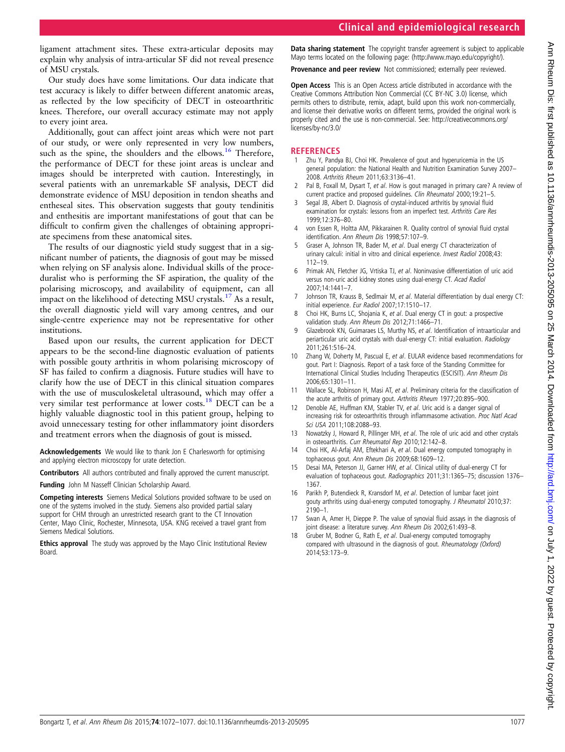## Clinical and epidemiological research

<span id="page-5-0"></span>ligament attachment sites. These extra-articular deposits may explain why analysis of intra-articular SF did not reveal presence of MSU crystals.

Our study does have some limitations. Our data indicate that test accuracy is likely to differ between different anatomic areas, as reflected by the low specificity of DECT in osteoarthritic knees. Therefore, our overall accuracy estimate may not apply to every joint area.

Additionally, gout can affect joint areas which were not part of our study, or were only represented in very low numbers, such as the spine, the shoulders and the elbows. $16$  Therefore, the performance of DECT for these joint areas is unclear and images should be interpreted with caution. Interestingly, in several patients with an unremarkable SF analysis, DECT did demonstrate evidence of MSU deposition in tendon sheaths and entheseal sites. This observation suggests that gouty tendinitis and enthesitis are important manifestations of gout that can be difficult to confirm given the challenges of obtaining appropriate specimens from these anatomical sites.

The results of our diagnostic yield study suggest that in a significant number of patients, the diagnosis of gout may be missed when relying on SF analysis alone. Individual skills of the proceduralist who is performing the SF aspiration, the quality of the polarising microscopy, and availability of equipment, can all impact on the likelihood of detecting MSU crystals.<sup>17</sup> As a result, the overall diagnostic yield will vary among centres, and our single-centre experience may not be representative for other institutions.

Based upon our results, the current application for DECT appears to be the second-line diagnostic evaluation of patients with possible gouty arthritis in whom polarising microscopy of SF has failed to confirm a diagnosis. Future studies will have to clarify how the use of DECT in this clinical situation compares with the use of musculoskeletal ultrasound, which may offer a very similar test performance at lower costs.<sup>18</sup> DECT can be a highly valuable diagnostic tool in this patient group, helping to avoid unnecessary testing for other inflammatory joint disorders and treatment errors when the diagnosis of gout is missed.

Acknowledgements We would like to thank Jon E Charlesworth for optimising and applying electron microscopy for urate detection.

Contributors All authors contributed and finally approved the current manuscript.

Funding John M Nasseff Clinician Scholarship Award.

Competing interests Siemens Medical Solutions provided software to be used on one of the systems involved in the study. Siemens also provided partial salary support for CHM through an unrestricted research grant to the CT Innovation Center, Mayo Clinic, Rochester, Minnesota, USA. KNG received a travel grant from Siemens Medical Solutions.

**Ethics approval** The study was approved by the Mayo Clinic Institutional Review Board.

Data sharing statement The copyright transfer agreement is subiect to applicable Mayo terms located on the following page: [\(http://www.mayo.edu/copyright/](http://www.mayo.edu/copyright/)).

Provenance and peer review Not commissioned; externally peer reviewed.

Open Access This is an Open Access article distributed in accordance with the Creative Commons Attribution Non Commercial (CC BY-NC 3.0) license, which permits others to distribute, remix, adapt, build upon this work non-commercially, and license their derivative works on different terms, provided the original work is properly cited and the use is non-commercial. See: [http://creativecommons.org/](http://creativecommons.org/licenses/by-nc/3.0/) [licenses/by-nc/3.0/](http://creativecommons.org/licenses/by-nc/3.0/)

## **REFERENCES**

- Zhu Y, Pandya BJ, Choi HK. Prevalence of gout and hyperuricemia in the US general population: the National Health and Nutrition Examination Survey 2007– 2008. Arthritis Rheum 2011;63:3136–41.
- Pal B, Foxall M, Dysart T, et al. How is gout managed in primary care? A review of current practice and proposed guidelines. Clin Rheumatol 2000;19:21–5.
- 3 Segal JB, Albert D. Diagnosis of crystal-induced arthritis by synovial fluid examination for crystals: lessons from an imperfect test. Arthritis Care Res 1999;12:376–80.
- 4 von Essen R, Holtta AM, Pikkarainen R. Quality control of synovial fluid crystal identification. Ann Rheum Dis 1998;57:107–9.
- 5 Graser A, Johnson TR, Bader M, et al. Dual energy CT characterization of urinary calculi: initial in vitro and clinical experience. Invest Radiol 2008;43: 112–19.
- 6 Primak AN, Fletcher JG, Vrtiska TJ, et al. Noninvasive differentiation of uric acid versus non-uric acid kidney stones using dual-energy CT. Acad Radiol 2007;14:1441–7.
- 7 Johnson TR, Krauss B, Sedlmair M, et al. Material differentiation by dual energy CT: initial experience. Eur Radiol 2007;17:1510–17.
- Choi HK, Burns LC, Shojania K, et al. Dual energy CT in gout: a prospective validation study. Ann Rheum Dis 2012;71:1466–71.
- 9 Glazebrook KN, Guimaraes LS, Murthy NS, et al. Identification of intraarticular and periarticular uric acid crystals with dual-energy CT: initial evaluation. Radiology 2011;261:516–24.
- 10 Zhang W, Doherty M, Pascual E, et al. EULAR evidence based recommendations for gout. Part I: Diagnosis. Report of a task force of the Standing Committee for International Clinical Studies Including Therapeutics (ESCISIT). Ann Rheum Dis 2006;65:1301–11.
- 11 Wallace SL, Robinson H, Masi AT, et al. Preliminary criteria for the classification of the acute arthritis of primary gout. Arthritis Rheum 1977;20:895–900.
- 12 Denoble AE, Huffman KM, Stabler TV, et al. Uric acid is a danger signal of increasing risk for osteoarthritis through inflammasome activation. Proc Natl Acad Sci USA 2011;108:2088–93.
- 13 Nowatzky J, Howard R, Pillinger MH, et al. The role of uric acid and other crystals in osteoarthritis. Curr Rheumatol Rep 2010:12:142-8.
- 14 Choi HK, Al-Arfaj AM, Eftekhari A, et al. Dual energy computed tomography in tophaceous gout. Ann Rheum Dis 2009;68:1609–12.
- 15 Desai MA, Peterson JJ, Garner HW, et al. Clinical utility of dual-energy CT for evaluation of tophaceous gout. Radiographics 2011;31:1365–75; discussion 1376– 1367.
- 16 Parikh P, Butendieck R, Kransdorf M, et al. Detection of lumbar facet joint gouty arthritis using dual-energy computed tomography. J Rheumatol 2010;37: 2190–1.
- 17 Swan A, Amer H, Dieppe P. The value of synovial fluid assays in the diagnosis of joint disease: a literature survey. Ann Rheum Dis 2002;61:493-8.
- Gruber M, Bodner G, Rath E, et al. Dual-energy computed tomography compared with ultrasound in the diagnosis of gout. Rheumatology (Oxford) 2014;53:173–9.